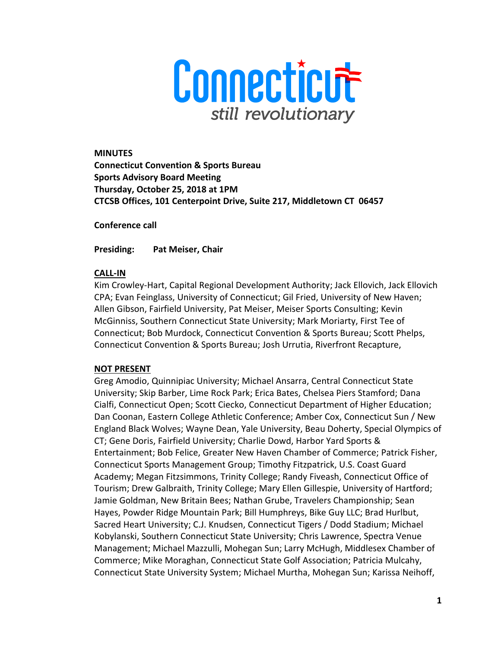

**MINUTES Connecticut Convention & Sports Bureau Sports Advisory Board Meeting Thursday, October 25, 2018 at 1PM CTCSB Offices, 101 Centerpoint Drive, Suite 217, Middletown CT 06457**

**Conference call** 

**Presiding: Pat Meiser, Chair** 

# **CALL-IN**

Kim Crowley-Hart, Capital Regional Development Authority; Jack Ellovich, Jack Ellovich CPA; Evan Feinglass, University of Connecticut; Gil Fried, University of New Haven; Allen Gibson, Fairfield University, Pat Meiser, Meiser Sports Consulting; Kevin McGinniss, Southern Connecticut State University; Mark Moriarty, First Tee of Connecticut; Bob Murdock, Connecticut Convention & Sports Bureau; Scott Phelps, Connecticut Convention & Sports Bureau; Josh Urrutia, Riverfront Recapture,

# **NOT PRESENT**

Greg Amodio, Quinnipiac University; Michael Ansarra, Central Connecticut State University; Skip Barber, Lime Rock Park; Erica Bates, Chelsea Piers Stamford; Dana Cialfi, Connecticut Open; Scott Ciecko, Connecticut Department of Higher Education; Dan Coonan, Eastern College Athletic Conference; Amber Cox, Connecticut Sun / New England Black Wolves; Wayne Dean, Yale University, Beau Doherty, Special Olympics of CT; Gene Doris, Fairfield University; Charlie Dowd, Harbor Yard Sports & Entertainment; Bob Felice, Greater New Haven Chamber of Commerce; Patrick Fisher, Connecticut Sports Management Group; Timothy Fitzpatrick, U.S. Coast Guard Academy; Megan Fitzsimmons, Trinity College; Randy Fiveash, Connecticut Office of Tourism; Drew Galbraith, Trinity College; Mary Ellen Gillespie, University of Hartford; Jamie Goldman, New Britain Bees; Nathan Grube, Travelers Championship; Sean Hayes, Powder Ridge Mountain Park; Bill Humphreys, Bike Guy LLC; Brad Hurlbut, Sacred Heart University; C.J. Knudsen, Connecticut Tigers / Dodd Stadium; Michael Kobylanski, Southern Connecticut State University; Chris Lawrence, Spectra Venue Management; Michael Mazzulli, Mohegan Sun; Larry McHugh, Middlesex Chamber of Commerce; Mike Moraghan, Connecticut State Golf Association; Patricia Mulcahy, Connecticut State University System; Michael Murtha, Mohegan Sun; Karissa Neihoff,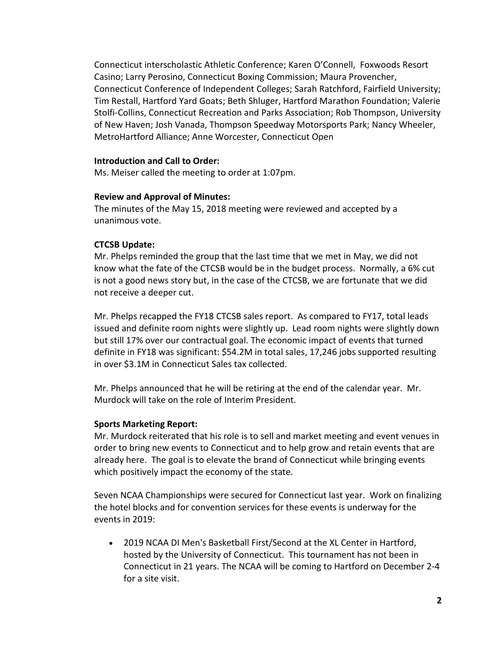Connecticut interscholastic Athletic Conference; Karen O'Connell, Foxwoods Resort Casino; Larry Perosino, Connecticut Boxing Commission; Maura Provencher, Connecticut Conference of Independent Colleges; Sarah Ratchford, Fairfield University; Tim Restall, Hartford Yard Goats; Beth Shluger, Hartford Marathon Foundation; Valerie Stolfi-Collins, Connecticut Recreation and Parks Association; Rob Thompson, University of New Haven; Josh Vanada, Thompson Speedway Motorsports Park; Nancy Wheeler, MetroHartford Alliance; Anne Worcester, Connecticut Open

#### **Introduction and Call to Order:**

Ms. Meiser called the meeting to order at 1:07pm.

#### **Review and Approval of Minutes:**

The minutes of the May 15, 2018 meeting were reviewed and accepted by a unanimous vote.

# **CTCSB Update:**

Mr. Phelps reminded the group that the last time that we met in May, we did not know what the fate of the CTCSB would be in the budget process. Normally, a 6% cut is not a good news story but, in the case of the CTCSB, we are fortunate that we did not receive a deeper cut.

Mr. Phelps recapped the FY18 CTCSB sales report. As compared to FY17, total leads issued and definite room nights were slightly up. Lead room nights were slightly down but still 17% over our contractual goal. The economic impact of events that turned definite in FY18 was significant: \$54.2M in total sales, 17,246 jobs supported resulting in over \$3.1M in Connecticut Sales tax collected.

Mr. Phelps announced that he will be retiring at the end of the calendar year. Mr. Murdock will take on the role of Interim President.

#### **Sports Marketing Report:**

Mr. Murdock reiterated that his role is to sell and market meeting and event venues in order to bring new events to Connecticut and to help grow and retain events that are already here. The goal is to elevate the brand of Connecticut while bringing events which positively impact the economy of the state.

Seven NCAA Championships were secured for Connecticut last year. Work on finalizing the hotel blocks and for convention services for these events is underway for the events in 2019:

• 2019 NCAA DI Men's Basketball First/Second at the XL Center in Hartford, hosted by the University of Connecticut. This tournament has not been in Connecticut in 21 years. The NCAA will be coming to Hartford on December 2-4 for a site visit.